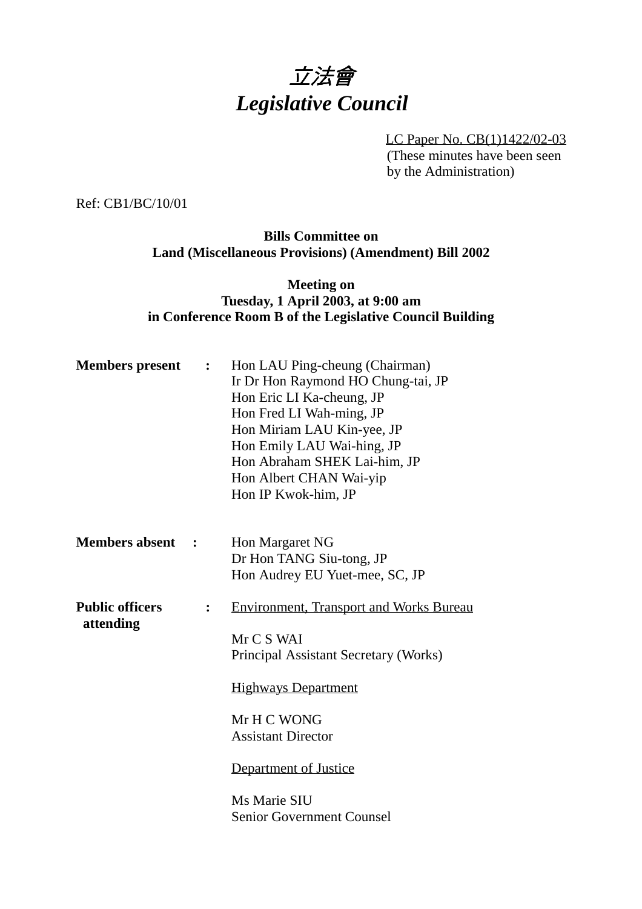# 立法會 *Legislative Council*

LC Paper No. CB(1)1422/02-03 (These minutes have been seen by the Administration)

Ref: CB1/BC/10/01

#### **Bills Committee on Land (Miscellaneous Provisions) (Amendment) Bill 2002**

#### **Meeting on Tuesday, 1 April 2003, at 9:00 am in Conference Room B of the Legislative Council Building**

| <b>Members</b> present              | : | Hon LAU Ping-cheung (Chairman)<br>Ir Dr Hon Raymond HO Chung-tai, JP<br>Hon Eric LI Ka-cheung, JP<br>Hon Fred LI Wah-ming, JP<br>Hon Miriam LAU Kin-yee, JP<br>Hon Emily LAU Wai-hing, JP<br>Hon Abraham SHEK Lai-him, JP<br>Hon Albert CHAN Wai-yip<br>Hon IP Kwok-him, JP |
|-------------------------------------|---|-----------------------------------------------------------------------------------------------------------------------------------------------------------------------------------------------------------------------------------------------------------------------------|
| <b>Members absent</b>               |   | Hon Margaret NG<br>Dr Hon TANG Siu-tong, JP<br>Hon Audrey EU Yuet-mee, SC, JP                                                                                                                                                                                               |
| <b>Public officers</b><br>attending |   | <b>Environment, Transport and Works Bureau</b><br>Mr C S WAI<br>Principal Assistant Secretary (Works)<br><b>Highways Department</b><br>Mr H C WONG<br><b>Assistant Director</b><br>Department of Justice<br>Ms Marie SIU<br><b>Senior Government Counsel</b>                |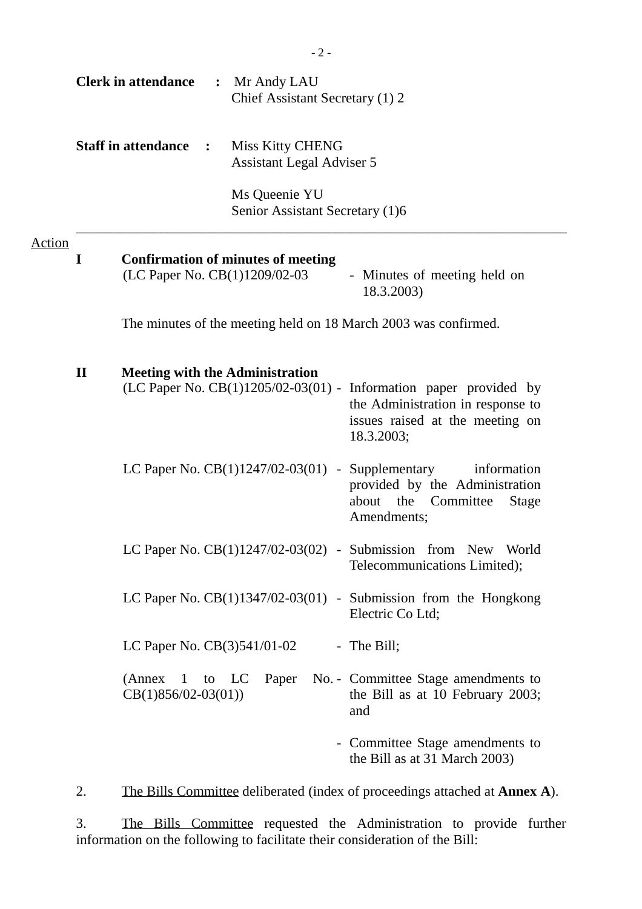|               |                                                                                                                                                                                                                     | <b>Clerk in attendance</b>                                                                                               | : Mr Andy LAU<br>Chief Assistant Secretary (1) 2     |                                                                                                                      |  |  |
|---------------|---------------------------------------------------------------------------------------------------------------------------------------------------------------------------------------------------------------------|--------------------------------------------------------------------------------------------------------------------------|------------------------------------------------------|----------------------------------------------------------------------------------------------------------------------|--|--|
|               |                                                                                                                                                                                                                     | <b>Staff in attendance</b><br>$\ddot{\cdot}$                                                                             | Miss Kitty CHENG<br><b>Assistant Legal Adviser 5</b> |                                                                                                                      |  |  |
|               |                                                                                                                                                                                                                     |                                                                                                                          | Ms Queenie YU<br>Senior Assistant Secretary (1)6     |                                                                                                                      |  |  |
| <b>Action</b> | I                                                                                                                                                                                                                   | <b>Confirmation of minutes of meeting</b><br>(LC Paper No. CB(1)1209/02-03<br>- Minutes of meeting held on<br>18.3.2003) |                                                      |                                                                                                                      |  |  |
|               |                                                                                                                                                                                                                     | The minutes of the meeting held on 18 March 2003 was confirmed.                                                          |                                                      |                                                                                                                      |  |  |
|               | $\mathbf{I}$<br><b>Meeting with the Administration</b><br>(LC Paper No. $CB(1)1205/02-03(01)$ - Information paper provided by<br>the Administration in response to<br>issues raised at the meeting on<br>18.3.2003; |                                                                                                                          |                                                      |                                                                                                                      |  |  |
|               |                                                                                                                                                                                                                     |                                                                                                                          | LC Paper No. CB(1)1247/02-03(01) -                   | Supplementary<br>information<br>provided by the Administration<br>about the Committee<br><b>Stage</b><br>Amendments; |  |  |
|               |                                                                                                                                                                                                                     |                                                                                                                          |                                                      | LC Paper No. CB(1)1247/02-03(02) - Submission from New World<br>Telecommunications Limited);                         |  |  |
|               | LC Paper No. $CB(1)1347/02-03(01)$ - Submission from the Hongkong                                                                                                                                                   |                                                                                                                          |                                                      | Electric Co Ltd;                                                                                                     |  |  |
|               | LC Paper No. CB(3)541/01-02<br>- The Bill;                                                                                                                                                                          |                                                                                                                          |                                                      |                                                                                                                      |  |  |
|               |                                                                                                                                                                                                                     | (Annex)<br>$\mathbf{1}$<br>to<br>$CB(1)856/02-03(01))$                                                                   | Paper<br>LC                                          | No. - Committee Stage amendments to<br>the Bill as at 10 February 2003;<br>and                                       |  |  |
|               |                                                                                                                                                                                                                     |                                                                                                                          |                                                      | - Committee Stage amendments to<br>the Bill as at 31 March 2003)                                                     |  |  |
|               | 2.                                                                                                                                                                                                                  |                                                                                                                          |                                                      | The Bills Committee deliberated (index of proceedings attached at <b>Annex A</b> ).                                  |  |  |

3. The Bills Committee requested the Administration to provide further information on the following to facilitate their consideration of the Bill: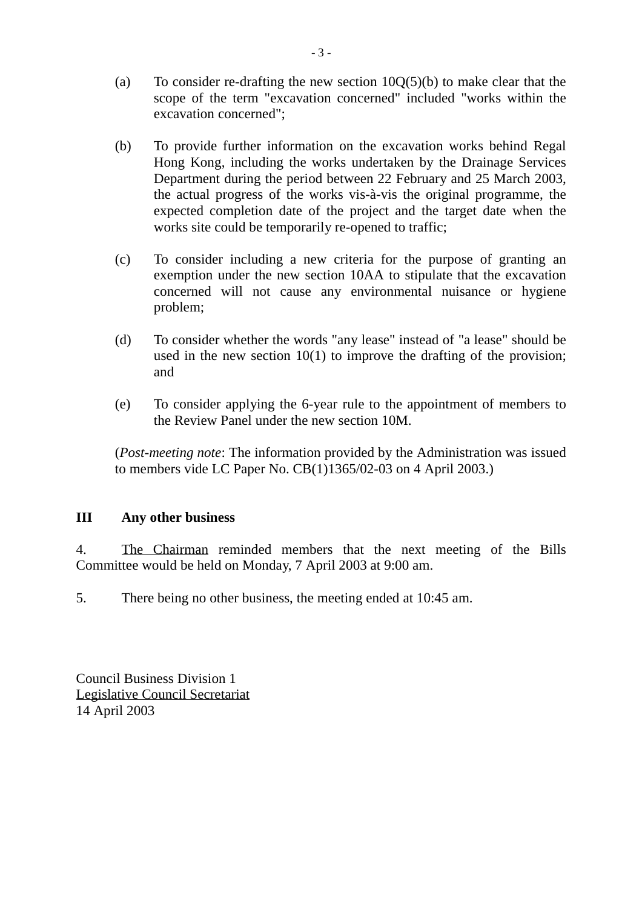- (a) To consider re-drafting the new section  $10Q(5)(b)$  to make clear that the scope of the term "excavation concerned" included "works within the excavation concerned";
- (b) To provide further information on the excavation works behind Regal Hong Kong, including the works undertaken by the Drainage Services Department during the period between 22 February and 25 March 2003, the actual progress of the works vis-à-vis the original programme, the expected completion date of the project and the target date when the works site could be temporarily re-opened to traffic;
- (c) To consider including a new criteria for the purpose of granting an exemption under the new section 10AA to stipulate that the excavation concerned will not cause any environmental nuisance or hygiene problem;
- (d) To consider whether the words "any lease" instead of "a lease" should be used in the new section 10(1) to improve the drafting of the provision; and
- (e) To consider applying the 6-year rule to the appointment of members to the Review Panel under the new section 10M.

(*Post-meeting note*: The information provided by the Administration was issued to members vide LC Paper No. CB(1)1365/02-03 on 4 April 2003.)

### **III Any other business**

4. The Chairman reminded members that the next meeting of the Bills Committee would be held on Monday, 7 April 2003 at 9:00 am.

5. There being no other business, the meeting ended at 10:45 am.

Council Business Division 1 Legislative Council Secretariat 14 April 2003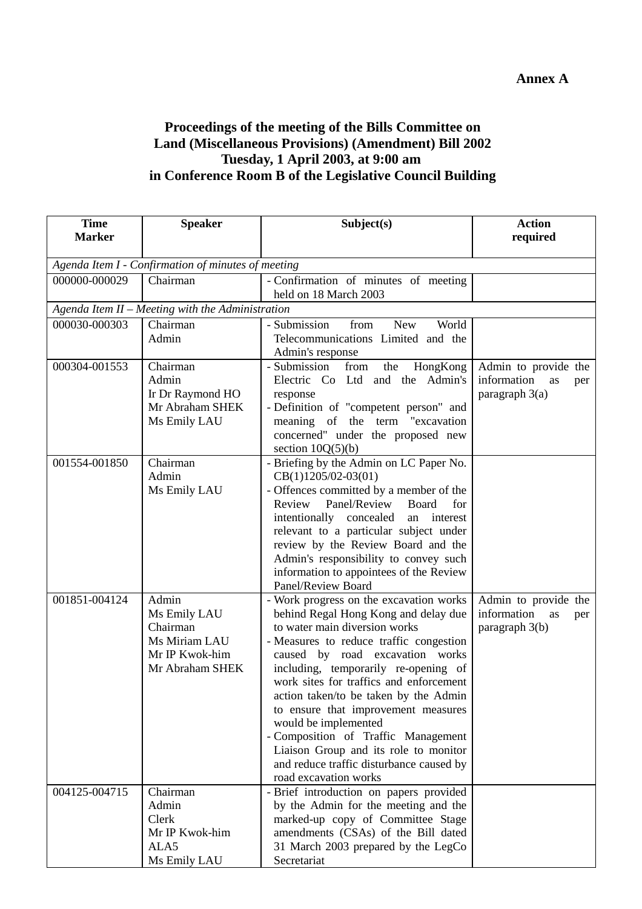## **Proceedings of the meeting of the Bills Committee on Land (Miscellaneous Provisions) (Amendment) Bill 2002 Tuesday, 1 April 2003, at 9:00 am in Conference Room B of the Legislative Council Building**

| <b>Time</b>   | <b>Speaker</b>                                     | Subject(s)                                                                   | <b>Action</b>            |  |
|---------------|----------------------------------------------------|------------------------------------------------------------------------------|--------------------------|--|
| <b>Marker</b> |                                                    |                                                                              | required                 |  |
|               | Agenda Item I - Confirmation of minutes of meeting |                                                                              |                          |  |
| 000000-000029 | Chairman                                           | - Confirmation of minutes of meeting                                         |                          |  |
|               |                                                    | held on 18 March 2003                                                        |                          |  |
|               | Agenda Item II - Meeting with the Administration   |                                                                              |                          |  |
| 000030-000303 | Chairman                                           | - Submission<br>from<br>New<br>World                                         |                          |  |
|               | Admin                                              | Telecommunications Limited and the<br>Admin's response                       |                          |  |
| 000304-001553 | Chairman                                           | - Submission<br>from<br>the<br>HongKong                                      | Admin to provide the     |  |
|               | Admin                                              | Electric Co Ltd and the Admin's                                              | information<br>as<br>per |  |
|               | Ir Dr Raymond HO                                   | response                                                                     | paragraph 3(a)           |  |
|               | Mr Abraham SHEK                                    | - Definition of "competent person" and                                       |                          |  |
|               | Ms Emily LAU                                       | meaning of the term "excavation                                              |                          |  |
|               |                                                    | concerned" under the proposed new<br>section $10Q(5)(b)$                     |                          |  |
| 001554-001850 | Chairman                                           | - Briefing by the Admin on LC Paper No.                                      |                          |  |
|               | Admin                                              | $CB(1)1205/02-03(01)$                                                        |                          |  |
|               | Ms Emily LAU                                       | - Offences committed by a member of the                                      |                          |  |
|               |                                                    | Panel/Review<br>Review<br>Board<br>for                                       |                          |  |
|               |                                                    | intentionally concealed<br>an interest                                       |                          |  |
|               |                                                    | relevant to a particular subject under<br>review by the Review Board and the |                          |  |
|               |                                                    | Admin's responsibility to convey such                                        |                          |  |
|               |                                                    | information to appointees of the Review                                      |                          |  |
|               |                                                    | Panel/Review Board                                                           |                          |  |
| 001851-004124 | Admin                                              | - Work progress on the excavation works                                      | Admin to provide the     |  |
|               | Ms Emily LAU                                       | behind Regal Hong Kong and delay due                                         | information<br>as<br>per |  |
|               | Chairman<br>Ms Miriam LAU                          | to water main diversion works<br>- Measures to reduce traffic congestion     | paragraph 3(b)           |  |
|               | Mr IP Kwok-him                                     | caused by road excavation works                                              |                          |  |
|               | Mr Abraham SHEK                                    | including, temporarily re-opening of                                         |                          |  |
|               |                                                    | work sites for traffics and enforcement                                      |                          |  |
|               |                                                    | action taken/to be taken by the Admin                                        |                          |  |
|               |                                                    | to ensure that improvement measures                                          |                          |  |
|               |                                                    | would be implemented                                                         |                          |  |
|               |                                                    | - Composition of Traffic Management<br>Liaison Group and its role to monitor |                          |  |
|               |                                                    | and reduce traffic disturbance caused by                                     |                          |  |
|               |                                                    | road excavation works                                                        |                          |  |
| 004125-004715 | Chairman                                           | - Brief introduction on papers provided                                      |                          |  |
|               | Admin                                              | by the Admin for the meeting and the                                         |                          |  |
|               | Clerk                                              | marked-up copy of Committee Stage                                            |                          |  |
|               | Mr IP Kwok-him<br>ALA5                             | amendments (CSAs) of the Bill dated<br>31 March 2003 prepared by the LegCo   |                          |  |
|               | Ms Emily LAU                                       | Secretariat                                                                  |                          |  |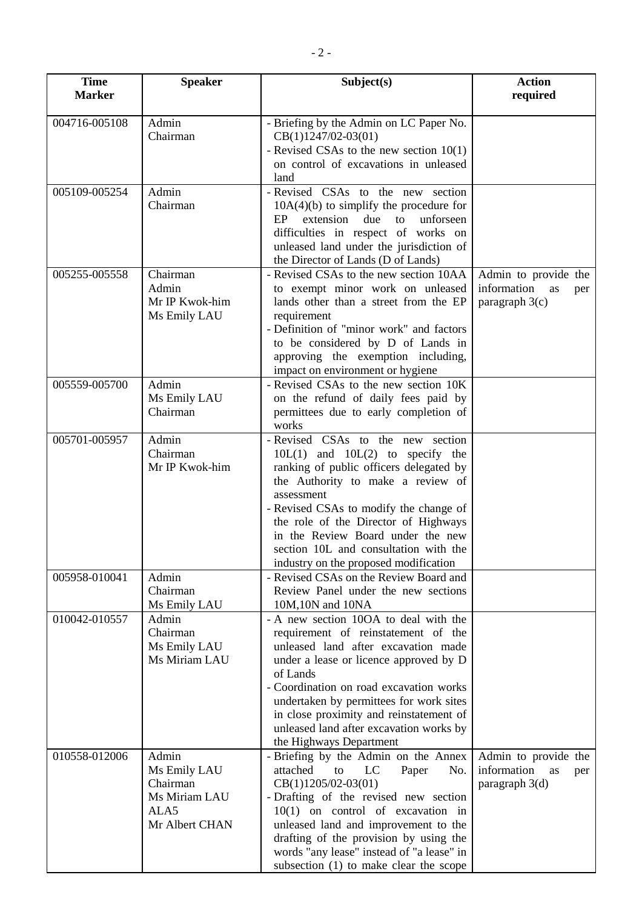| <b>Time</b><br><b>Marker</b> | <b>Speaker</b>                                                               | Subject(s)                                                                                                                                                                                                                                                                                                                                                                       | <b>Action</b><br>required                                            |
|------------------------------|------------------------------------------------------------------------------|----------------------------------------------------------------------------------------------------------------------------------------------------------------------------------------------------------------------------------------------------------------------------------------------------------------------------------------------------------------------------------|----------------------------------------------------------------------|
| 004716-005108                | Admin<br>Chairman                                                            | - Briefing by the Admin on LC Paper No.<br>$CB(1)1247/02-03(01)$<br>- Revised CSAs to the new section $10(1)$<br>on control of excavations in unleased<br>land                                                                                                                                                                                                                   |                                                                      |
| 005109-005254                | Admin<br>Chairman                                                            | - Revised CSAs to the new section<br>$10A(4)(b)$ to simplify the procedure for<br>extension due<br>EP<br>to<br>unforseen<br>difficulties in respect of works on<br>unleased land under the jurisdiction of<br>the Director of Lands (D of Lands)                                                                                                                                 |                                                                      |
| 005255-005558                | Chairman<br>Admin<br>Mr IP Kwok-him<br>Ms Emily LAU                          | - Revised CSAs to the new section 10AA<br>to exempt minor work on unleased<br>lands other than a street from the EP<br>requirement<br>- Definition of "minor work" and factors<br>to be considered by D of Lands in<br>approving the exemption including,<br>impact on environment or hygiene                                                                                    | Admin to provide the<br>information as<br>per<br>paragraph $3(c)$    |
| 005559-005700                | Admin<br>Ms Emily LAU<br>Chairman                                            | - Revised CSAs to the new section 10K<br>on the refund of daily fees paid by<br>permittees due to early completion of<br>works                                                                                                                                                                                                                                                   |                                                                      |
| 005701-005957                | Admin<br>Chairman<br>Mr IP Kwok-him                                          | - Revised CSAs to the new section<br>$10L(1)$ and $10L(2)$ to specify the<br>ranking of public officers delegated by<br>the Authority to make a review of<br>assessment<br>- Revised CSAs to modify the change of<br>the role of the Director of Highways<br>in the Review Board under the new<br>section 10L and consultation with the<br>industry on the proposed modification |                                                                      |
| 005958-010041                | Admin<br>Chairman<br>Ms Emily LAU                                            | - Revised CSAs on the Review Board and<br>Review Panel under the new sections<br>10M,10N and 10NA                                                                                                                                                                                                                                                                                |                                                                      |
| 010042-010557                | Admin<br>Chairman<br>Ms Emily LAU<br>Ms Miriam LAU                           | - A new section 10OA to deal with the<br>requirement of reinstatement of the<br>unleased land after excavation made<br>under a lease or licence approved by D<br>of Lands<br>- Coordination on road excavation works<br>undertaken by permittees for work sites<br>in close proximity and reinstatement of<br>unleased land after excavation works by<br>the Highways Department |                                                                      |
| 010558-012006                | Admin<br>Ms Emily LAU<br>Chairman<br>Ms Miriam LAU<br>ALA5<br>Mr Albert CHAN | - Briefing by the Admin on the Annex<br>attached<br>to<br>LC<br>Paper<br>No.<br>$CB(1)1205/02-03(01)$<br>- Drafting of the revised new section<br>$10(1)$ on control of excavation in<br>unleased land and improvement to the<br>drafting of the provision by using the<br>words "any lease" instead of "a lease" in<br>subsection (1) to make clear the scope                   | Admin to provide the<br>information<br>as<br>per<br>paragraph $3(d)$ |